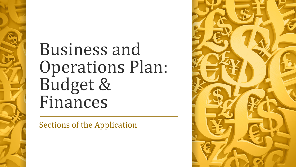# Business and Operations Plan: Budget & Finances

Sections of the Application

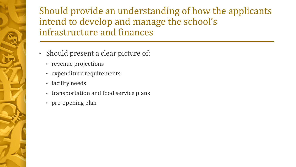Should provide an understanding of how the applicants intend to develop and manage the school's infrastructure and finances

- Should present a clear picture of:
	- revenue projections
	- expenditure requirements
	- facility needs
	- transportation and food service plans
	- pre-opening plan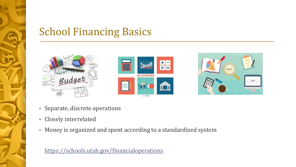# School Financing Basics







- Separate, discrete operations
- Closely interrelated
- Money is organized and spent according to a standardized system

#### <https://schools.utah.gov/financialoperations>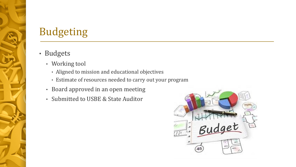# Budgeting

#### • Budgets

- Working tool
	- Aligned to mission and educational objectives
	- Estimate of resources needed to carry out your program
- Board approved in an open meeting
- Submitted to USBE & State Auditor

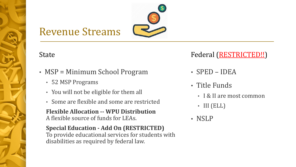### Revenue Streams

#### State

- MSP = Minimum School Program
	- 52 MSP Programs
	- You will not be eligible for them all
	- Some are flexible and some are restricted

**Flexible Allocation -- WPU Distribution** A flexible source of funds for LEAs.

**Special Education - Add On (RESTRICTED)** To provide educational services for students with disabilities as required by federal law.

#### Federal (RESTRICTED!!)

- SPED IDEA
- Title Funds
	- I & II are most common
	- III (ELL)
- NSLP

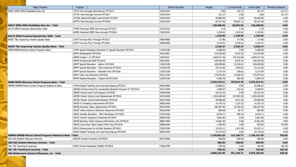| <b>Major Program</b>                                               | Program                                                        | <b>District Pam/Rev</b> | <b>Budget</b> | <b>Current Month</b> | Year-to-Date | <b>Remaining Balance</b> |
|--------------------------------------------------------------------|----------------------------------------------------------------|-------------------------|---------------|----------------------|--------------|--------------------------|
| 84027 SPED-IDEA Disabilities Educ Act                              | 17FTD Flow-through Discretionary FFY2017                       | 7524/4524               | 0.00          | 161.37               | 161.37       | $-161.37$                |
|                                                                    | 17FTFL Flow-through Formula FFY2017                            | 7524/4524               | 161.37        | 0.00                 | 0.00         | 161.37                   |
|                                                                    | 17STAC Special Ed State Level Activity FFY2017                 | 7524/4524               | 45,000.00     | 0.00                 | 45,000.00    | 0.00                     |
|                                                                    | 18FTFL Flow-through Formula FFY2018                            | 7524/4524               | 83,327.46     | 30,692.13            | 83,327.46    | 0.00                     |
| 84027 SPED-IDEA Disabilities Educ Act - Total                      |                                                                |                         | 128,488.83    | 30,853.50            | 128,488.83   | 0.00                     |
| 84173 SPED-Preschool Special Educ IDEA                             | 17PRE Preschool SPED Flow-through FFY2017                      | 7522/4522               | 3.18          | 3.18                 | 3.18         | 0.00                     |
|                                                                    | 18PRE Preschool SPED Flow-through FFY2018                      | 7522/4522               | 1,235.81      | 1,235.81             | 1,235.81     | 0.00                     |
| 84173 SPED-Preschool Special Educ IDEA - Total                     |                                                                |                         | 1,238.99      | 1,238.99             | 1,238.99     | 0.00                     |
| 84367 T&L-Improving Teacher Quality-State                          | 172FT Formula Flow Through FFY2017                             | 7860/4800               | 117.86        | 117.86               | 117.86       | 0.00                     |
|                                                                    | 182FT Formula Flow Through FFY2018                             | 7860/4800               | 3,218.41      | 3,218.41             | 3,218.41     | 0.00                     |
| 84367 T&L-Improving Teacher Quality-State - Total                  |                                                                |                         | 3,336.27      | 3,336.27             | 3,336.27     | 0.00                     |
| MSPB MSPB-Minimum School Programs Basic                            | 17PPP Special Education-Extended Yr Special Educators SFY2017  | 1278/3100               | 5,968.00      | 0.00                 | 5,968.00     | 0.00                     |
|                                                                    | 18PPA Kindergarten SFY2018                                     | VAR/3005                | 115,232.00    | 9,515.10             | 115,232.00   | 0.00                     |
|                                                                    | 18PPB Grades 1-12 SFY2018                                      | VAR/3010                | 1,604,017.26  | 133,223.84           | 1,604,017.26 | 0.00                     |
|                                                                    | 18PPD Professional Staff SFY2018                               | VAR/3020                | 109,545.40    | 8,676.76             | 109,545.40   | 0.00                     |
|                                                                    | 18PPF Special Education - Add-on SFY2018                       | 1205/3100               | 183,849.80    | 15,320.81            | 183,849.80   | 0.00                     |
|                                                                    | 18PPH Special Education - Self-contained SFY2018               | 1210/3100               | 23,121.82     | 1,926.81             | 23,121.82    | 0.00                     |
|                                                                    | 18PPI Special Education - Extended Year SFY2018                | 1220/3100               | 3,115.34      | 259.61               | 3,115.34     | 0.00                     |
|                                                                    | 18PPL Class Size Reduction SFY2018                             | 5201/3100               | 175,875.83    | 14,628.79            | 175,875.83   | 0.00                     |
|                                                                    | 18PPN Special Education - Impact Aid SFY2018                   | 1225/3100               | 4,584.76      | 382.06               | 4,584.76     | 0.00                     |
| <b>MSPB MSPB-Minimum School Programs Basic - Total</b>             |                                                                |                         | 2,225,310.21  | 183,933.78           | 2,225,310.21 | 0.00                     |
| MSPRB MSPRB-Minium School Programs Related to Basic                | 17PUO Digital Teaching and Learning-Ongoing SFY2017            | 5655/3400               | 22,806.67     | 0.00                 | 22,806.67    | 0.00                     |
|                                                                    | 18PQHG Enhancement for Accelerated Students Program-GT SFY2018 | 5331/3300               | 2,600.07      | 216.26               | 2,600.07     | 0.00                     |
|                                                                    | 18PQM School Land Trust Program SFY2018                        | 5420/3400               | 55,372.43     | 0.00                 | 55,372.43    | 0.00                     |
|                                                                    | 18PQN Charter School Local Replacement SFY2018                 | 5619/3400               | 1,303,640.00  | 107,092.50           | 1,303,640.00 | 0.00                     |
|                                                                    | 18PQO Charter School Administration SFY2018                    | 5625/3400               | 59,800.00     | 4,912.50             | 59,800.00    | 0.00                     |
|                                                                    | 18PQP K-3 Reading Improvement SFY2018                          | 5805/3400               | 14,193.73     | 1,157.32             | 14,193.73    | 0.00                     |
|                                                                    | 18PQR Educator Salary Adjustments SFY2018                      | 5876/3400               | 189, 387. 46  | 15,782.28            | 189, 387. 46 | 0.00                     |
|                                                                    | 18PQT Library Books & Electronic Resources SFY2018             | 5810/3400               | 800.68        | 66.72                | 800.68       | 0.00                     |
|                                                                    | 18POY Flexible Allocation - WPU Distribution SFY2018           | 5310/3200               | 6,070.71      | 498.10               | 6.070.71     | 0.00                     |
|                                                                    | 18PUA Teacher Supplies & Materials SFY2018                     | 5868/3400               | 5,681.89      | 0.00                 | 5,681.89     | 0.00                     |
|                                                                    | 18PUB Beverley Taylor Sorenson Elementary Arts SFY2018         | 5882/3400               | 15,681.00     | 0.00                 | 15,681.00    | 0.00                     |
|                                                                    | 18PUH Civics Educ State Capitol Field Trips SPY2018            | 5808/3400               | 1,360.00      | 0.00                 | 605.00       | 755.00                   |
|                                                                    | 18PUJ Enhancement for At-Risk Students SFY2018                 | 5336/3300               | 19,333.11     | 1,611.09             | 19,333.11    | 0.00                     |
|                                                                    | 18PUO Digital Teaching and Learning-Ongoing SPY2018            | 5655/3400               | 24,174.64     | 0.00                 | 24,174.64    | 0.00                     |
| <b>MSPRB MSPRB-Minium School Programs Related to Basic - Total</b> |                                                                |                         | 1,720,902.39  | 131,336.77           | 1,720,147.39 | 755.00                   |
| <b>SAS SAS-Student Advocacy Services</b>                           | 18SUPV Suicide Prevention SFY2018                              | 5674/3800               | 500.00        | 500.00               | 500.00       | 0.00                     |
| <b>SAS SAS-Student Advocacy Services - Total</b>                   |                                                                |                         | 500.00        | 500.00               | 500.00       | 0.00                     |
| T&L T&L-Teaching & Learning                                        | 18PCA School Readiness (HQSR) SFY2018                          | 7350/4700               | 330.36        | 0.00                 | 165.00       | 165.36                   |
| <b>T&amp;L T&amp;L-Teaching &amp; Learning - Total</b>             |                                                                |                         | 330.36        | 0.00                 | 165.00       | 165.36                   |
| 6G0 Weilenmann School of Discovery, Inc - Total                    |                                                                |                         | 4,080,107.05  | 351,199.31           | 4,079,186.69 | 920.36                   |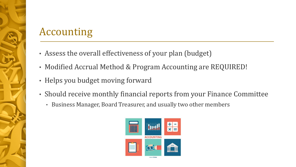# Accounting

- Assess the overall effectiveness of your plan (budget)
- Modified Accrual Method & Program Accounting are REQUIRED!
- Helps you budget moving forward
- Should receive monthly financial reports from your Finance Committee
	- Business Manager, Board Treasurer, and usually two other members

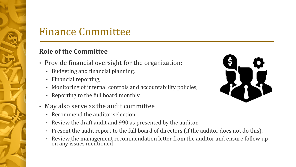### Finance Committee

#### **Role of the Committee**

- Provide financial oversight for the organization:
	- Budgeting and financial planning,
	- Financial reporting,
	- Monitoring of internal controls and accountability policies,
	- Reporting to the full board monthly
- May also serve as the audit committee
	- Recommend the auditor selection.
	- Review the draft audit and 990 as presented by the auditor.
	- Present the audit report to the full board of directors (if the auditor does not do this).
	- Review the management recommendation letter from the auditor and ensure follow up on any issues mentioned

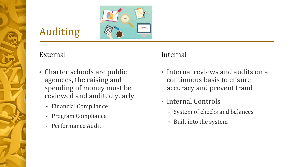# Auditing

#### External

- Charter schools are public agencies, the raising and spending of money must be reviewed and audited yearly
	- Financial Compliance
	- Program Compliance
	- Performance Audit

#### Internal

- Internal reviews and audits on a continuous basis to ensure accuracy and prevent fraud
- Internal Controls
	- System of checks and balances
	- Built into the system

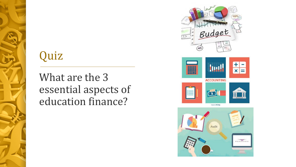# Quiz

What are the 3 essential aspects of education finance?





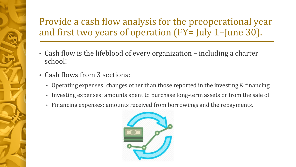### Provide a cash flow analysis for the preoperational year and first two years of operation (FY= July 1–June 30).

- Cash flow is the lifeblood of every organization including a charter school!
- Cash flows from 3 sections:
	- Operating expenses: changes other than those reported in the investing & financing
	- Investing expenses: amounts spent to purchase long-term assets or from the sale of
	- Financing expenses: amounts received from borrowings and the repayments.

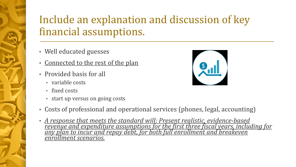# Include an explanation and discussion of key financial assumptions.

- Well educated guesses
- Connected to the rest of the plan
- Provided basis for all
	- variable costs
	- fixed costs
	- start up versus on going costs
- Costs of professional and operational services (phones, legal, accounting)
- *A response that meets the standard will: Present realistic, evidence-based revenue and expenditure assumptions for the first three fiscal years, including for any plan to incur and repay debt, for both full enrollment and breakeven enrollment scenarios.*

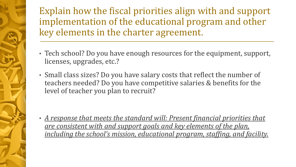Explain how the fiscal priorities align with and support implementation of the educational program and other key elements in the charter agreement.

- Tech school? Do you have enough resources for the equipment, support, licenses, upgrades, etc.?
- Small class sizes? Do you have salary costs that reflect the number of teachers needed? Do you have competitive salaries & benefits for the level of teacher you plan to recruit?

• *A response that meets the standard will: Present financial priorities that are consistent with and support goals and key elements of the plan, including the school's mission, educational program, staffing, and facility.*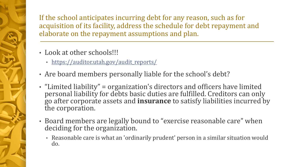If the school anticipates incurring debt for any reason, such as for acquisition of its facility, address the schedule for debt repayment and elaborate on the repayment assumptions and plan.

- Look at other schools!!!
	- [https://auditor.utah.gov/audit\\_reports/](https://auditor.utah.gov/audit_reports/)
- Are board members personally liable for the school's debt?
- "Limited liability" = organization's directors and officers have limited personal liability for debts basic duties are fulfilled. Creditors can only go after corporate assets and **insurance** to satisfy liabilities incurred by the corporation.
- Board members are legally bound to "exercise reasonable care" when deciding for the organization.
	- Reasonable care is what an 'ordinarily prudent' person in a similar situation would do.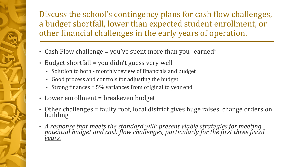Discuss the school's contingency plans for cash flow challenges, a budget shortfall, lower than expected student enrollment, or other financial challenges in the early years of operation.

- Cash Flow challenge = you've spent more than you "earned"
- Budget shortfall = you didn't guess very well
	- Solution to both monthly review of financials and budget
	- Good process and controls for adjusting the budget
	- Strong finances = 5% variances from original to year end
- Lower enrollment = breakeven budget
- Other challenges = faulty roof, local district gives huge raises, change orders on building
- A response that meets the standard will: present viable strategies for meeting *potential budget and cash flow challenges, particularly for the first three fiscal years.*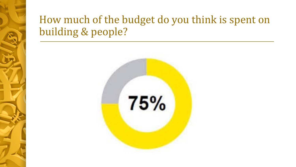## How much of the budget do you think is spent on building & people?

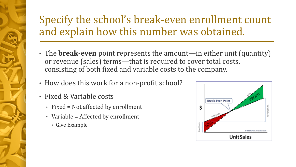# Specify the school's break-even enrollment count and explain how this number was obtained.

- The **break**-**even** point represents the amount—in either unit (quantity) or revenue (sales) terms—that is required to cover total costs, consisting of both fixed and variable costs to the company.
- How does this work for a non-profit school?
- Fixed & Variable costs
	- Fixed = Not affected by enrollment
	- Variable = Affected by enrollment
		- Give Example

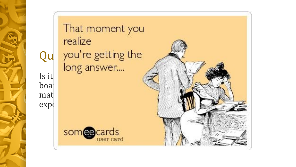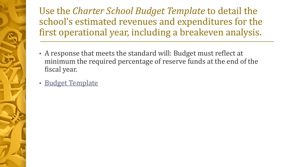Use the *Charter School Budget Template* to detail the school's estimated revenues and expenditures for the first operational year, including a breakeven analysis.

- A response that meets the standard will: Budget must reflect at minimum the required percentage of reserve funds at the end of the fiscal year.
- Budget Template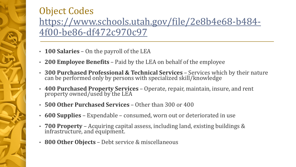### Object Codes [https://www.schools.utah.gov/file/2e8b4e68-b484-](https://www.schools.utah.gov/file/2e8b4e68-b484-4f00-be86-df472c970c97) 4f00-be86-df472c970c97

- **100 Salaries**  On the payroll of the LEA
- **200 Employee Benefits**  Paid by the LEA on behalf of the employee
- **300 Purchased Professional & Technical Services**  Services which by their nature can be performed only by persons with specialized skill/knowledge
- **400 Purchased Property Services**  Operate, repair, maintain, insure, and rent property owned/used by the LEA
- **500 Other Purchased Services**  Other than 300 or 400
- **600 Supplies**  Expendable consumed, worn out or deteriorated in use
- **700 Property**  Acquiring capital assess, including land, existing buildings & infrastructure, and equipment.
- **800 Other Objects**  Debt service & miscellaneous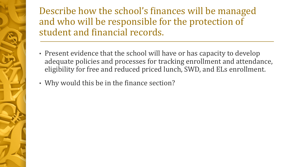Describe how the school's finances will be managed and who will be responsible for the protection of student and financial records.

- Present evidence that the school will have or has capacity to develop adequate policies and processes for tracking enrollment and attendance, eligibility for free and reduced priced lunch, SWD, and ELs enrollment.
- Why would this be in the finance section?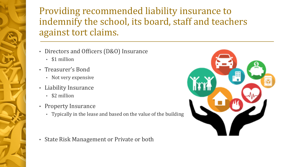### Providing recommended liability insurance to indemnify the school, its board, staff and teachers against tort claims.

- Directors and Officers (D&O) Insurance
	- \$1 million
- Treasurer's Bond
	- Not very expensive
- Liability Insurance
	- \$2 million
- Property Insurance
	- Typically in the lease and based on the value of the building



• State Risk Management or Private or both